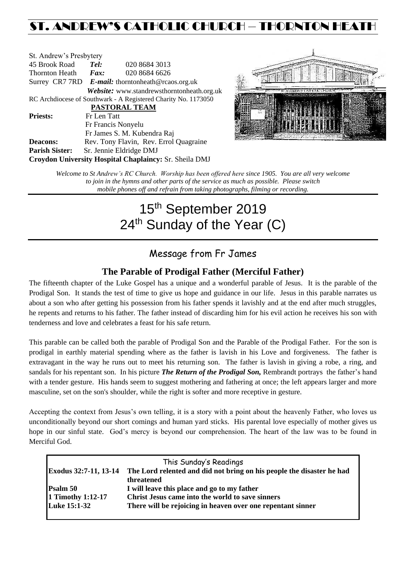# ST. ANDREW'S CATHOLIC CHURCH – THORNTON HEAT

| St. Andrew's Presbytery                                        |                                                   |                                            |  |  |  |
|----------------------------------------------------------------|---------------------------------------------------|--------------------------------------------|--|--|--|
| 45 Brook Road                                                  | Tel:                                              | 020 8684 3013                              |  |  |  |
| Thornton Heath                                                 | Fax:                                              | 020 8684 6626                              |  |  |  |
|                                                                | Surrey CR7 7RD E-mail: thorntonheath@rcaos.org.uk |                                            |  |  |  |
|                                                                |                                                   | Website: www.standrewsthorntonheath.org.uk |  |  |  |
| RC Archdiocese of Southwark - A Registered Charity No. 1173050 |                                                   |                                            |  |  |  |
| <b>PASTORAL TEAM</b>                                           |                                                   |                                            |  |  |  |
| <b>Priests:</b>                                                | Fr Len Tatt                                       |                                            |  |  |  |
|                                                                |                                                   | Fr Francis Nonyelu                         |  |  |  |
|                                                                |                                                   | Fr James S. M. Kubendra Raj                |  |  |  |
| <b>Deacons:</b>                                                |                                                   | Rev. Tony Flavin, Rev. Errol Quagraine     |  |  |  |
| <b>Parish Sister:</b>                                          |                                                   | Sr. Jennie Eldridge DMJ                    |  |  |  |
| Croydon University Hospital Chaplaincy: Sr. Sheila DMJ         |                                                   |                                            |  |  |  |



*Welcome to St Andrew's RC Church. Worship has been offered here since 1905. You are all very welcome to join in the hymns and other parts of the service as much as possible. Please switch mobile phones off and refrain from taking photographs, filming or recording.*

# 15<sup>th</sup> September 2019 24<sup>th</sup> Sunday of the Year (C)

## Message from Fr James

### **The Parable of Prodigal Father (Merciful Father)**

The fifteenth chapter of the Luke Gospel has a unique and a wonderful parable of Jesus. It is the parable of the Prodigal Son. It stands the test of time to give us hope and guidance in our life. Jesus in this parable narrates us about a son who after getting his possession from his father spends it lavishly and at the end after much struggles, he repents and returns to his father. The father instead of discarding him for his evil action he receives his son with tenderness and love and celebrates a feast for his safe return.

This parable can be called both the parable of Prodigal Son and the Parable of the Prodigal Father. For the son is prodigal in earthly material spending where as the father is lavish in his Love and forgiveness. The father is extravagant in the way he runs out to meet his returning son. The father is lavish in giving a robe, a ring, and sandals for his repentant son. In his picture *The Return of the Prodigal Son,* Rembrandt portrays the father's hand with a tender gesture. His hands seem to suggest mothering and fathering at once; the left appears larger and more masculine, set on the son's shoulder, while the right is softer and more receptive in gesture.

Accepting the context from Jesus's own telling, it is a story with a point about the heavenly Father, who loves us unconditionally beyond our short comings and human yard sticks. His parental love especially of mother gives us hope in our sinful state. God's mercy is beyond our comprehension. The heart of the law was to be found in Merciful God.

|                       | This Sunday's Readings                                                |
|-----------------------|-----------------------------------------------------------------------|
| Exodus 32:7-11, 13-14 | The Lord relented and did not bring on his people the disaster he had |
|                       | threatened                                                            |
| Psalm 50              | I will leave this place and go to my father                           |
| 1 Timothy 1:12-17     | Christ Jesus came into the world to save sinners                      |
| <b>Luke 15:1-32</b>   | There will be rejoicing in heaven over one repentant sinner           |
|                       |                                                                       |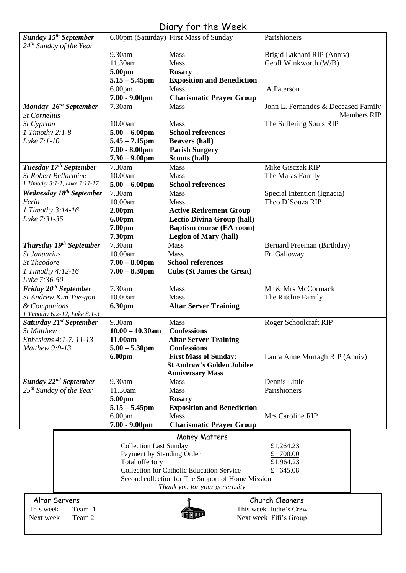# Diary for the Week

| Sunday 15 <sup>th</sup> September    |                               | 6.00pm (Saturday) First Mass of Sunday            | Parishioners                        |  |
|--------------------------------------|-------------------------------|---------------------------------------------------|-------------------------------------|--|
| $24th$ Sunday of the Year            |                               |                                                   |                                     |  |
|                                      | 9.30am                        | <b>Mass</b>                                       | Brigid Lakhani RIP (Anniv)          |  |
|                                      | 11.30am                       | Mass                                              | Geoff Winkworth (W/B)               |  |
|                                      | 5.00pm                        | <b>Rosary</b>                                     |                                     |  |
|                                      | $5.15 - 5.45$ pm              | <b>Exposition and Benediction</b>                 |                                     |  |
|                                      | 6.00 <sub>pm</sub>            | Mass                                              | A.Paterson                          |  |
|                                      | $7.00 - 9.00$ pm              | <b>Charismatic Prayer Group</b>                   |                                     |  |
| Monday 16 <sup>th</sup> September    | 7.30am                        | Mass                                              | John L. Fernandes & Deceased Family |  |
| <b>St Cornelius</b>                  |                               |                                                   | <b>Members RIP</b>                  |  |
| St Cyprian                           | 10.00am                       | Mass                                              | The Suffering Souls RIP             |  |
| 1 Timothy 2:1-8                      | $5.00 - 6.00$ pm              | <b>School references</b>                          |                                     |  |
| Luke 7:1-10                          | $5.45 - 7.15$ pm              | <b>Beavers (hall)</b>                             |                                     |  |
|                                      | $7.00 - 8.00$ pm              | <b>Parish Surgery</b>                             |                                     |  |
|                                      | $7.30 - 9.00$ pm              | Scouts (hall)                                     |                                     |  |
| Tuesday 17 <sup>th</sup> September   | 7.30am                        | Mass                                              | Mike Gisczak RIP                    |  |
| <b>St Robert Bellarmine</b>          | 10.00am                       | Mass                                              | The Maras Family                    |  |
| 1 Timothy 3:1-1, Luke 7:11-17        | $5.00 - 6.00$ pm              | <b>School references</b>                          |                                     |  |
| Wednesday 18 <sup>th</sup> September | 7.30am                        | <b>Mass</b>                                       | Special Intention (Ignacia)         |  |
| Feria                                | 10.00am                       | <b>Mass</b>                                       | Theo D'Souza RIP                    |  |
| 1 Timothy 3:14-16                    |                               |                                                   |                                     |  |
| Luke 7:31-35                         | 2.00 <sub>pm</sub>            | <b>Active Retirement Group</b>                    |                                     |  |
|                                      | 6.00pm                        | <b>Lectio Divina Group (hall)</b>                 |                                     |  |
|                                      | 7.00pm                        | <b>Baptism course (EA room)</b>                   |                                     |  |
|                                      | 7.30pm                        | <b>Legion of Mary (hall)</b>                      |                                     |  |
| Thursday 19th September              | 7.30am                        | Mass                                              | Bernard Freeman (Birthday)          |  |
| St Januarius                         | 10.00am                       | Mass                                              | Fr. Galloway                        |  |
| <b>St Theodore</b>                   | $7.00 - 8.00$ pm              | <b>School references</b>                          |                                     |  |
| 1 Timothy 4:12-16                    | $7.00 - 8.30$ pm              | <b>Cubs (St James the Great)</b>                  |                                     |  |
| Luke 7:36-50                         |                               |                                                   |                                     |  |
| Friday 20 <sup>th</sup> September    | 7.30am                        | Mass                                              | Mr & Mrs McCormack                  |  |
| St Andrew Kim Tae-gon                | 10.00am                       | <b>Mass</b>                                       | The Ritchie Family                  |  |
| & Companions                         | 6.30pm                        | <b>Altar Server Training</b>                      |                                     |  |
| 1 Timothy 6:2-12, Luke 8:1-3         |                               |                                                   |                                     |  |
| Saturday 21 <sup>st</sup> September  | 9.30am                        | Mass                                              | Roger Schoolcraft RIP               |  |
| <b>St Matthew</b>                    | $10.00 - 10.30$ am            | <b>Confessions</b>                                |                                     |  |
| Ephesians 4:1-7. 11-13               | 11.00am                       | <b>Altar Server Training</b>                      |                                     |  |
| Matthew 9:9-13                       | $5.00 - 5.30$ pm              | <b>Confessions</b>                                |                                     |  |
|                                      | 6.00pm                        | <b>First Mass of Sunday:</b>                      | Laura Anne Murtagh RIP (Anniv)      |  |
|                                      |                               | <b>St Andrew's Golden Jubilee</b>                 |                                     |  |
|                                      |                               | <b>Anniversary Mass</b>                           |                                     |  |
| Sunday 22 <sup>nd</sup> September    | 9.30am                        | Mass                                              | Dennis Little                       |  |
| 25 <sup>th</sup> Sunday of the Year  | 11.30am                       | Mass                                              | Parishioners                        |  |
|                                      | 5.00pm                        | <b>Rosary</b>                                     |                                     |  |
|                                      | $5.15 - 5.45$ pm              | <b>Exposition and Benediction</b>                 |                                     |  |
|                                      | 6.00 <sub>pm</sub>            | Mass                                              | Mrs Caroline RIP                    |  |
|                                      | $7.00 - 9.00$ pm              | <b>Charismatic Prayer Group</b>                   |                                     |  |
|                                      |                               | Money Matters                                     |                                     |  |
|                                      | <b>Collection Last Sunday</b> |                                                   | £1,264.23                           |  |
|                                      | Payment by Standing Order     |                                                   | £ 700.00                            |  |
|                                      | Total offertory               |                                                   | £1,964.23                           |  |
|                                      |                               | Collection for Catholic Education Service         | £ 645.08                            |  |
|                                      |                               | Second collection for The Support of Home Mission |                                     |  |
| Thank you for your generosity        |                               |                                                   |                                     |  |
|                                      |                               |                                                   |                                     |  |
| Altar Servers                        |                               |                                                   | Church Cleaners                     |  |
| This week<br>Team 1                  |                               |                                                   | This week Judie's Crew              |  |
| Next week<br>Team 2                  |                               |                                                   | Next week Fifi's Group              |  |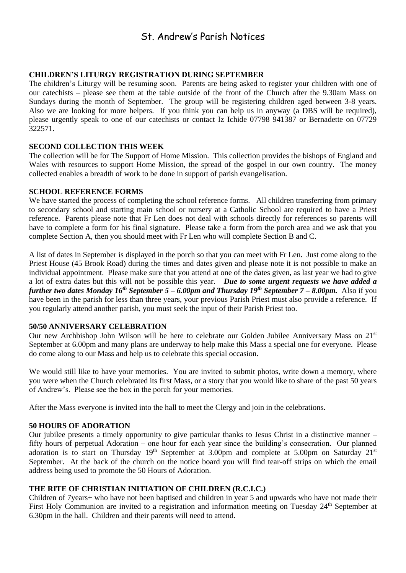## St. Andrew's Parish Notices

#### **CHILDREN'S LITURGY REGISTRATION DURING SEPTEMBER**

The children's Liturgy will be resuming soon. Parents are being asked to register your children with one of our catechists – please see them at the table outside of the front of the Church after the 9.30am Mass on Sundays during the month of September. The group will be registering children aged between 3-8 years. Also we are looking for more helpers. If you think you can help us in anyway (a DBS will be required), please urgently speak to one of our catechists or contact Iz Ichide 07798 941387 or Bernadette on 07729 322571.

#### **SECOND COLLECTION THIS WEEK**

The collection will be for The Support of Home Mission. This collection provides the bishops of England and Wales with resources to support Home Mission, the spread of the gospel in our own country. The money collected enables a breadth of work to be done in support of parish evangelisation.

#### **SCHOOL REFERENCE FORMS**

We have started the process of completing the school reference forms. All children transferring from primary to secondary school and starting main school or nursery at a Catholic School are required to have a Priest reference. Parents please note that Fr Len does not deal with schools directly for references so parents will have to complete a form for his final signature. Please take a form from the porch area and we ask that you complete Section A, then you should meet with Fr Len who will complete Section B and C.

A list of dates in September is displayed in the porch so that you can meet with Fr Len. Just come along to the Priest House (45 Brook Road) during the times and dates given and please note it is not possible to make an individual appointment. Please make sure that you attend at one of the dates given, as last year we had to give a lot of extra dates but this will not be possible this year. *Due to some urgent requests we have added a further two dates Monday 16th September 5 – 6.00pm and Thursday 19th September 7 – 8.00pm.* Also if you have been in the parish for less than three years, your previous Parish Priest must also provide a reference. If you regularly attend another parish, you must seek the input of their Parish Priest too.

#### **50/50 ANNIVERSARY CELEBRATION**

Our new Archbishop John Wilson will be here to celebrate our Golden Jubilee Anniversary Mass on 21<sup>st</sup> September at 6.00pm and many plans are underway to help make this Mass a special one for everyone. Please do come along to our Mass and help us to celebrate this special occasion.

We would still like to have your memories. You are invited to submit photos, write down a memory, where you were when the Church celebrated its first Mass, or a story that you would like to share of the past 50 years of Andrew's. Please see the box in the porch for your memories.

After the Mass everyone is invited into the hall to meet the Clergy and join in the celebrations.

#### **50 HOURS OF ADORATION**

Our jubilee presents a timely opportunity to give particular thanks to Jesus Christ in a distinctive manner – fifty hours of perpetual Adoration – one hour for each year since the building's consecration. Our planned adoration is to start on Thursday  $19<sup>th</sup>$  September at 3.00pm and complete at 5.00pm on Saturday  $21<sup>st</sup>$ September. At the back of the church on the notice board you will find tear-off strips on which the email address being used to promote the 50 Hours of Adoration.

#### **THE RITE OF CHRISTIAN INITIATION OF CHILDREN (R.C.I.C.)**

Children of 7years+ who have not been baptised and children in year 5 and upwards who have not made their First Holy Communion are invited to a registration and information meeting on Tuesday 24<sup>th</sup> September at 6.30pm in the hall. Children and their parents will need to attend.